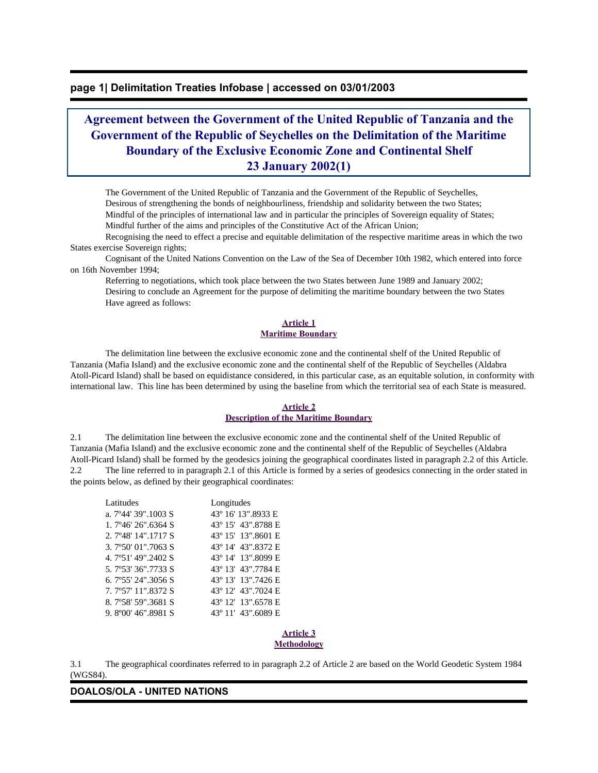## **page 1| Delimitation Treaties Infobase | accessed on 03/01/2003**

# **Agreement between the Government of the United Republic of Tanzania and the Government of the Republic of Seychelles on the Delimitation of the Maritime Boundary of the Exclusive Economic Zone and Continental Shelf 23 January 2002(1)**

 The Government of the United Republic of Tanzania and the Government of the Republic of Seychelles, Desirous of strengthening the bonds of neighbourliness, friendship and solidarity between the two States; Mindful of the principles of international law and in particular the principles of Sovereign equality of States; Mindful further of the aims and principles of the Constitutive Act of the African Union;

 Recognising the need to effect a precise and equitable delimitation of the respective maritime areas in which the two States exercise Sovereign rights;

 Cognisant of the United Nations Convention on the Law of the Sea of December 10th 1982, which entered into force on 16th November 1994;

 Referring to negotiations, which took place between the two States between June 1989 and January 2002; Desiring to conclude an Agreement for the purpose of delimiting the maritime boundary between the two States Have agreed as follows:

#### **Article 1 Maritime Boundary**

 The delimitation line between the exclusive economic zone and the continental shelf of the United Republic of Tanzania (Mafia Island) and the exclusive economic zone and the continental shelf of the Republic of Seychelles (Aldabra Atoll-Picard Island) shall be based on equidistance considered, in this particular case, as an equitable solution, in conformity with international law. This line has been determined by using the baseline from which the territorial sea of each State is measured.

#### **Article 2**

#### **Description of the Maritime Boundary**

2.1 The delimitation line between the exclusive economic zone and the continental shelf of the United Republic of Tanzania (Mafia Island) and the exclusive economic zone and the continental shelf of the Republic of Seychelles (Aldabra Atoll-Picard Island) shall be formed by the geodesics joining the geographical coordinates listed in paragraph 2.2 of this Article. 2.2 The line referred to in paragraph 2.1 of this Article is formed by a series of geodesics connecting in the order stated in the points below, as defined by their geographical coordinates:

| Latitudes                    | Longitudes         |
|------------------------------|--------------------|
| a. 7°44' 39".1003 S          | 43° 16′ 13″.8933 E |
| $1.7\,946'$ 26" 6364 S       | 43° 15′ 43″.8788 E |
| 2. 7°48′ 14″.1717 S          | 43° 15′ 13″.8601 E |
| 3.7°50′ 01″.7063 S           | 43° 14′ 43″.8372 E |
| 4.7°51'49".2402 S            | 43° 14′ 13″.8099 E |
| 5.7°53′ 36″.7733 S           | 43° 13′ 43″.7784 E |
| 6. $7^{\circ}55'$ 24" 3056 S | 43° 13′ 13″.7426 E |
| 7. 7°57' 11".8372 S          | 43° 12′ 43″.7024 E |
| 8.7°58′ 59″.3681 S           | 43° 12′ 13″.6578 E |
| 9.8°00'46".8981.S            | 43° 11′ 43″.6089 E |

#### **Article 3 Methodology**

3.1 The geographical coordinates referred to in paragraph 2.2 of Article 2 are based on the World Geodetic System 1984 (WGS84).

## **DOALOS/OLA - UNITED NATIONS**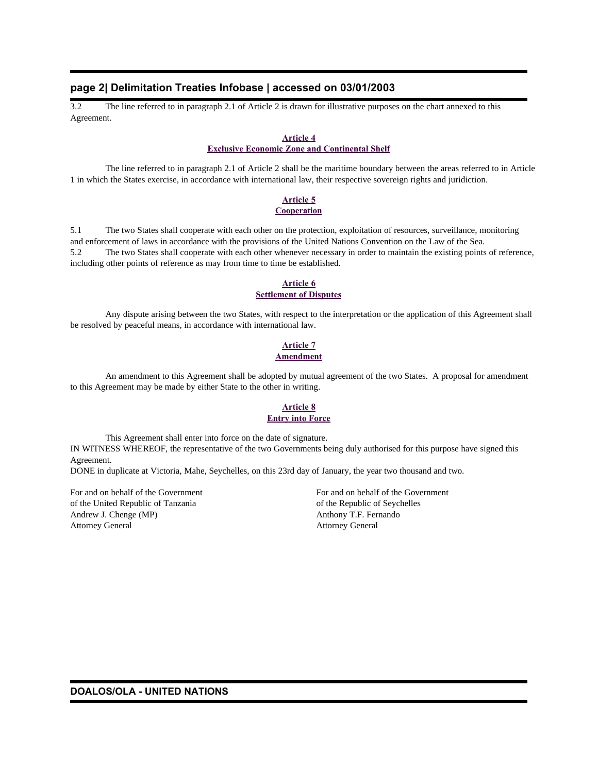## **page 2| Delimitation Treaties Infobase | accessed on 03/01/2003**

3.2 The line referred to in paragraph 2.1 of Article 2 is drawn for illustrative purposes on the chart annexed to this Agreement.

#### **Article 4**

### **Exclusive Economic Zone and Continental Shelf**

 The line referred to in paragraph 2.1 of Article 2 shall be the maritime boundary between the areas referred to in Article 1 in which the States exercise, in accordance with international law, their respective sovereign rights and juridiction.

#### **Article 5 Cooperation**

5.1 The two States shall cooperate with each other on the protection, exploitation of resources, surveillance, monitoring and enforcement of laws in accordance with the provisions of the United Nations Convention on the Law of the Sea. 5.2 The two States shall cooperate with each other whenever necessary in order to maintain the existing points of reference, including other points of reference as may from time to time be established.

#### **Article 6 Settlement of Disputes**

 Any dispute arising between the two States, with respect to the interpretation or the application of this Agreement shall be resolved by peaceful means, in accordance with international law.

### **Article 7 Amendment**

 An amendment to this Agreement shall be adopted by mutual agreement of the two States. A proposal for amendment to this Agreement may be made by either State to the other in writing.

## **Article 8 Entry into Force**

 This Agreement shall enter into force on the date of signature. IN WITNESS WHEREOF, the representative of the two Governments being duly authorised for this purpose have signed this Agreement.

DONE in duplicate at Victoria, Mahe, Seychelles, on this 23rd day of January, the year two thousand and two.

of the United Republic of Tanzania of the Republic of Seychelles Andrew J. Chenge (MP) Anthony T.F. Fernando Attorney General Attorney General

For and on behalf of the Government For and on behalf of the Government

**DOALOS/OLA - UNITED NATIONS**